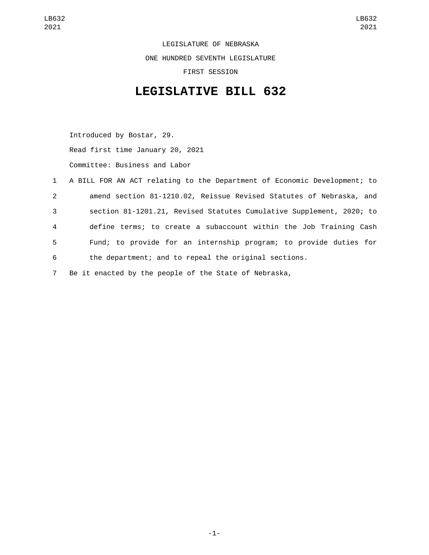LEGISLATURE OF NEBRASKA ONE HUNDRED SEVENTH LEGISLATURE FIRST SESSION

## **LEGISLATIVE BILL 632**

Introduced by Bostar, 29. Read first time January 20, 2021 Committee: Business and Labor

|             | 1 A BILL FOR AN ACT relating to the Department of Economic Development; to |
|-------------|----------------------------------------------------------------------------|
| $2^{\circ}$ | amend section 81-1210.02, Reissue Revised Statutes of Nebraska, and        |
| 3           | section 81-1201.21, Revised Statutes Cumulative Supplement, 2020; to       |
| 4           | define terms; to create a subaccount within the Job Training Cash          |
| 5           | Fund; to provide for an internship program; to provide duties for          |
| 6           | the department; and to repeal the original sections.                       |

7 Be it enacted by the people of the State of Nebraska,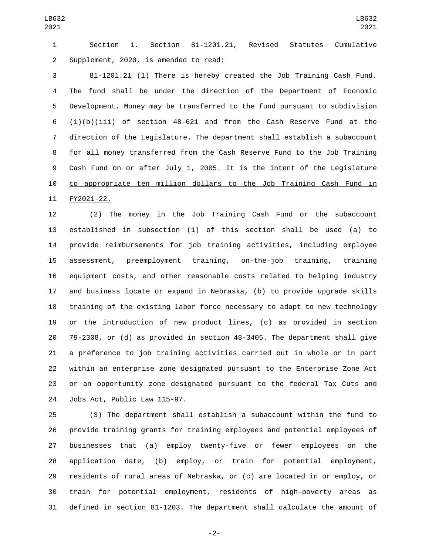Section 1. Section 81-1201.21, Revised Statutes Cumulative 2 Supplement, 2020, is amended to read:

 81-1201.21 (1) There is hereby created the Job Training Cash Fund. The fund shall be under the direction of the Department of Economic Development. Money may be transferred to the fund pursuant to subdivision (1)(b)(iii) of section 48-621 and from the Cash Reserve Fund at the direction of the Legislature. The department shall establish a subaccount for all money transferred from the Cash Reserve Fund to the Job Training Cash Fund on or after July 1, 2005. It is the intent of the Legislature to appropriate ten million dollars to the Job Training Cash Fund in 11 FY2021-22.

 (2) The money in the Job Training Cash Fund or the subaccount established in subsection (1) of this section shall be used (a) to provide reimbursements for job training activities, including employee assessment, preemployment training, on-the-job training, training equipment costs, and other reasonable costs related to helping industry and business locate or expand in Nebraska, (b) to provide upgrade skills training of the existing labor force necessary to adapt to new technology or the introduction of new product lines, (c) as provided in section 79-2308, or (d) as provided in section 48-3405. The department shall give a preference to job training activities carried out in whole or in part within an enterprise zone designated pursuant to the Enterprise Zone Act or an opportunity zone designated pursuant to the federal Tax Cuts and 24 Jobs Act, Public Law 115-97.

 (3) The department shall establish a subaccount within the fund to provide training grants for training employees and potential employees of businesses that (a) employ twenty-five or fewer employees on the application date, (b) employ, or train for potential employment, residents of rural areas of Nebraska, or (c) are located in or employ, or train for potential employment, residents of high-poverty areas as defined in section 81-1203. The department shall calculate the amount of

-2-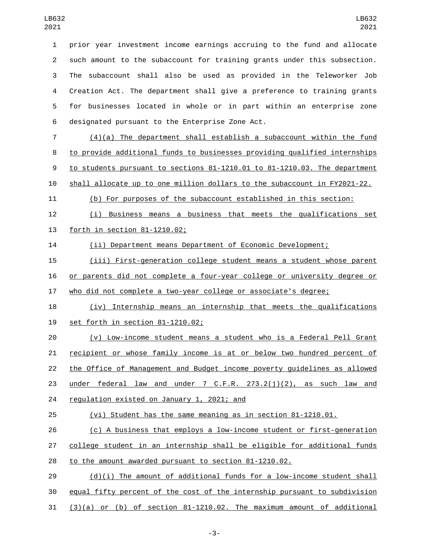prior year investment income earnings accruing to the fund and allocate such amount to the subaccount for training grants under this subsection. The subaccount shall also be used as provided in the Teleworker Job Creation Act. The department shall give a preference to training grants for businesses located in whole or in part within an enterprise zone 6 designated pursuant to the Enterprise Zone Act.

 (4)(a) The department shall establish a subaccount within the fund to provide additional funds to businesses providing qualified internships to students pursuant to sections 81-1210.01 to 81-1210.03. The department shall allocate up to one million dollars to the subaccount in FY2021-22.

(b) For purposes of the subaccount established in this section:

 (i) Business means a business that meets the qualifications set 13 forth in section 81-1210.02;

(ii) Department means Department of Economic Development;

 (iii) First-generation college student means a student whose parent or parents did not complete a four-year college or university degree or who did not complete a two-year college or associate's degree;

 (iv) Internship means an internship that meets the qualifications 19 set forth in section 81-1210.02;

 (v) Low-income student means a student who is a Federal Pell Grant recipient or whose family income is at or below two hundred percent of the Office of Management and Budget income poverty guidelines as allowed 23 under federal law and under 7 C.F.R. 273.2(j)(2), as such law and 24 regulation existed on January 1, 2021; and

(vi) Student has the same meaning as in section 81-1210.01.

 (c) A business that employs a low-income student or first-generation college student in an internship shall be eligible for additional funds to the amount awarded pursuant to section 81-1210.02.

 (d)(i) The amount of additional funds for a low-income student shall equal fifty percent of the cost of the internship pursuant to subdivision  $(3)(a)$  or (b) of section  $81-1210.02$ . The maximum amount of additional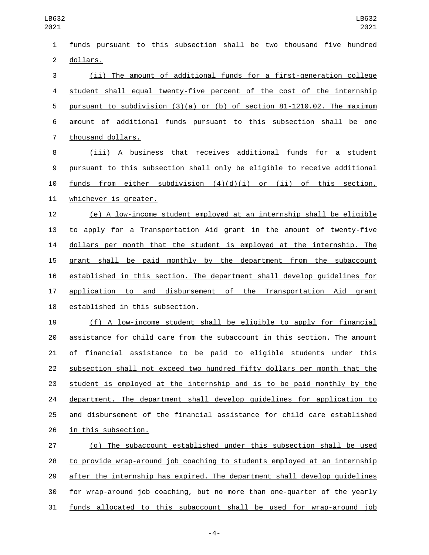| $\mathbf{1}$   | funds pursuant to this subsection shall be two thousand five hundred         |
|----------------|------------------------------------------------------------------------------|
| $\overline{2}$ | dollars.                                                                     |
| 3              | (ii) The amount of additional funds for a first-generation college           |
| 4              | student shall equal twenty-five percent of the cost of the internship        |
| 5              | pursuant to subdivision $(3)(a)$ or $(b)$ of section 81-1210.02. The maximum |
| 6              | amount of additional funds pursuant to this subsection shall be one          |
| $\overline{7}$ | thousand dollars.                                                            |
| 8              | (iii) A business that receives additional funds for a student                |
| 9              | pursuant to this subsection shall only be eligible to receive additional     |
| 10             | funds from either subdivision $(4)(d)(i)$ or (ii) of this section,           |
| 11             | whichever is greater.                                                        |
| 12             | (e) A low-income student employed at an internship shall be eligible         |
| 13             | to apply for a Transportation Aid grant in the amount of twenty-five         |
| 14             | dollars per month that the student is employed at the internship. The        |
| 15             | grant shall be paid monthly by the department from the subaccount            |
| 16             | established in this section. The department shall develop guidelines for     |
| 17             | application to and disbursement of the Transportation Aid grant              |
| 18             | established in this subsection.                                              |
| 19             | (f) A low-income student shall be eligible to apply for financial            |
| 20             | assistance for child care from the subaccount in this section. The amount    |
| 21             | financial assistance to be paid to eligible students under this<br>of        |
| 22             | subsection shall not exceed two hundred fifty dollars per month that the     |
| 23             | student is employed at the internship and is to be paid monthly by the       |
| 24             | department. The department shall develop guidelines for application to       |
| 25             | and disbursement of the financial assistance for child care established      |
| 26             | in this subsection.                                                          |
| 27             | (g) The subaccount established under this subsection shall be used           |
| 28             | to provide wrap-around job coaching to students employed at an internship    |
| 29             | after the internship has expired. The department shall develop quidelines    |
| 30             | for wrap-around job coaching, but no more than one-quarter of the yearly     |
| 31             | funds allocated to this subaccount shall be used for wrap-around job         |

-4-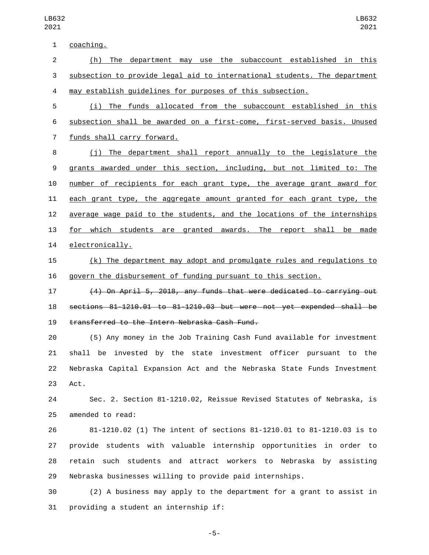coaching.1 (h) The department may use the subaccount established in this subsection to provide legal aid to international students. The department may establish guidelines for purposes of this subsection. (i) The funds allocated from the subaccount established in this subsection shall be awarded on a first-come, first-served basis. Unused

7 funds shall carry forward.

 (j) The department shall report annually to the Legislature the grants awarded under this section, including, but not limited to: The number of recipients for each grant type, the average grant award for each grant type, the aggregate amount granted for each grant type, the average wage paid to the students, and the locations of the internships 13 for which students are granted awards. The report shall be made 14 electronically.

 (k) The department may adopt and promulgate rules and regulations to govern the disbursement of funding pursuant to this section.

 (4) On April 5, 2018, any funds that were dedicated to carrying out sections 81-1210.01 to 81-1210.03 but were not yet expended shall be 19 transferred to the Intern Nebraska Cash Fund.

 (5) Any money in the Job Training Cash Fund available for investment shall be invested by the state investment officer pursuant to the Nebraska Capital Expansion Act and the Nebraska State Funds Investment 23 Act.

 Sec. 2. Section 81-1210.02, Reissue Revised Statutes of Nebraska, is 25 amended to read:

 81-1210.02 (1) The intent of sections 81-1210.01 to 81-1210.03 is to provide students with valuable internship opportunities in order to retain such students and attract workers to Nebraska by assisting Nebraska businesses willing to provide paid internships.

 (2) A business may apply to the department for a grant to assist in 31 providing a student an internship if:

-5-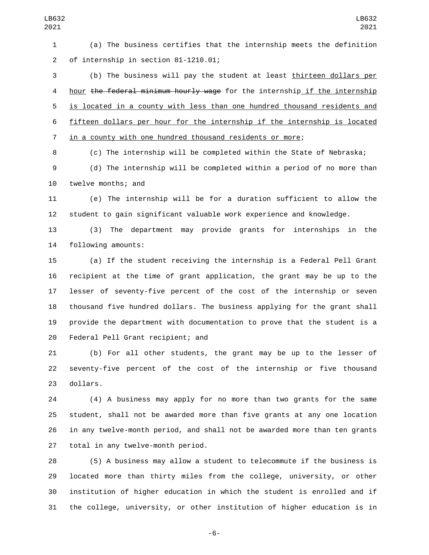(a) The business certifies that the internship meets the definition of internship in section 81-1210.01;2

 (b) The business will pay the student at least thirteen dollars per 4 hour the federal minimum hourly wage for the internship if the internship is located in a county with less than one hundred thousand residents and fifteen dollars per hour for the internship if the internship is located in a county with one hundred thousand residents or more;

(c) The internship will be completed within the State of Nebraska;

 (d) The internship will be completed within a period of no more than 10 twelve months; and

 (e) The internship will be for a duration sufficient to allow the student to gain significant valuable work experience and knowledge.

 (3) The department may provide grants for internships in the 14 following amounts:

 (a) If the student receiving the internship is a Federal Pell Grant recipient at the time of grant application, the grant may be up to the lesser of seventy-five percent of the cost of the internship or seven thousand five hundred dollars. The business applying for the grant shall provide the department with documentation to prove that the student is a 20 Federal Pell Grant recipient; and

 (b) For all other students, the grant may be up to the lesser of seventy-five percent of the cost of the internship or five thousand 23 dollars.

 (4) A business may apply for no more than two grants for the same student, shall not be awarded more than five grants at any one location in any twelve-month period, and shall not be awarded more than ten grants 27 total in any twelve-month period.

 (5) A business may allow a student to telecommute if the business is located more than thirty miles from the college, university, or other institution of higher education in which the student is enrolled and if the college, university, or other institution of higher education is in

-6-